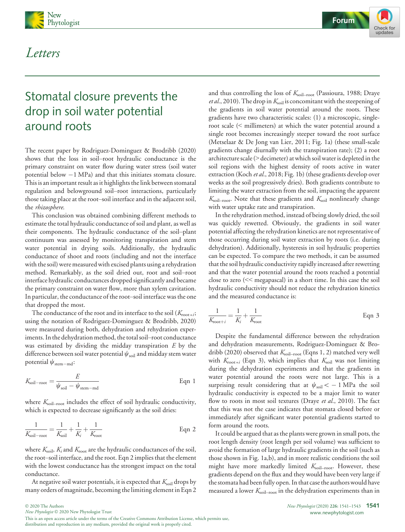

# Letters



# Stomatal closure prevents the drop in soil water potential around roots

The recent paper by Rodriguez-Dominguez & Brodribb (2020) shows that the loss in soil–root hydraulic conductance is the primary constraint on water flow during water stress (soil water potential below  $-1$  MPa) and that this initiates stomata closure. This is an important result as it highlights the link between stomatal regulation and belowground soil–root interactions, particularly those taking place at the root–soil interface and in the adjacent soil, the rhizosphere.

This conclusion was obtained combining different methods to estimate the total hydraulic conductance of soil and plant, as well as their components. The hydraulic conductance of the soil–plant continuum was assessed by monitoring transpiration and stem water potential in drying soils. Additionally, the hydraulic conductance of shoot and roots (including and not the interface with the soil) were measured with excised plants using a rehydration method. Remarkably, as the soil dried out, root and soil–root interface hydraulic conductances dropped significantly and became the primary constraint on water flow, more than xylem cavitation. In particular, the conductance of the root–soil interface was the one that dropped the most.

The conductance of the root and its interface to the soil  $(K_{\text{root}+i};$ using the notation of Rodriguez-Dominguez & Brodribb, 2020) were measured during both, dehydration and rehydration experiments. In the dehydration method, the total soil–root conductance was estimated by dividing the midday transpiration  $E$  by the difference between soil water potential  $\psi_{\rm soil}$  and midday stem water potential  $\psi_{\text{stem}-\text{md}}$ :

$$
K_{\text{soil-root}} = \frac{E}{\psi_{\text{soil}} - \psi_{\text{stem-mod}}}
$$
 Eqn 1

where  $K_{\text{sol-root}}$  includes the effect of soil hydraulic conductivity, which is expected to decrease significantly as the soil dries:

$$
\frac{1}{K_{\text{soil}-\text{root}}} = \frac{1}{K_{\text{soil}}} + \frac{1}{K_i} + \frac{1}{K_{\text{root}}}
$$
 Eqn 2

where  $K_{\text{sol}}$ ,  $K_i$  and  $K_{\text{root}}$  are the hydraulic conductances of the soil, the root–soil interface, and the root. Eqn 2 implies that the element with the lowest conductance has the strongest impact on the total conductance.

At negative soil water potentials, it is expected that  $K_{\text{sol}}$  drops by many orders of magnitude, becoming the limiting element in Eqn 2 and thus controlling the loss of  $K_{\text{sol}-\text{root}}$  (Passioura, 1988; Draye *et al.*, 2010). The drop in  $K_{\text{solid}}$  is concomitant with the steepening of the gradients in soil water potential around the roots. These gradients have two characteristic scales: (1) a microscopic, singleroot scale (< millimeters) at which the water potential around a single root becomes increasingly steeper toward the root surface (Metselaar & De Jong van Lier, 2011; Fig. 1a) (these small-scale gradients change diurnally with the transpiration rate); (2) a root architecture scale (> decimeter) at which soil water is depleted in the soil regions with the highest density of roots active in water extraction (Koch et al., 2018; Fig. 1b) (these gradients develop over weeks as the soil progressively dries). Both gradients contribute to limiting the water extraction from the soil, impacting the apparent  $K_{\text{soil-root}}$ . Note that these gradients and  $K_{\text{soil}}$  nonlinearly change with water uptake rate and transpiration.

In the rehydration method, instead of being slowly dried, the soil was quickly rewetted. Obviously, the gradients in soil water potential affecting the rehydration kinetics are not representative of those occurring during soil water extraction by roots (i.e. during dehydration). Additionally, hysteresis in soil hydraulic properties can be expected. To compare the two methods, it can be assumed that the soil hydraulic conductivity rapidly increased after rewetting and that the water potential around the roots reached a potential close to zero (<< megapascal) in a short time. In this case the soil hydraulic conductivity should not reduce the rehydration kinetics and the measured conductance is:

$$
\frac{1}{K_{\text{root}+i}} = \frac{1}{K_i} + \frac{1}{K_{\text{root}}}
$$
 Eqn 3

Despite the fundamental difference between the rehydration and dehydration measurements, Rodriguez-Dominguez & Brodribb (2020) observed that  $K_{\text{sol-root}}$  (Eqns 1, 2) matched very well with  $K_{\text{root}+i}$  (Eqn 3), which implies that  $K_{\text{solid}}$  was not limiting during the dehydration experiments and that the gradients in water potential around the roots were not large. This is a surprising result considering that at  $\psi_{\text{soil}} < -1$  MPa the soil hydraulic conductivity is expected to be a major limit to water flow to roots in most soil textures (Draye et al., 2010). The fact that this was not the case indicates that stomata closed before or immediately after significant water potential gradients started to form around the roots.

It could be argued that as the plants were grown in small pots, the root length density (root length per soil volume) was sufficient to avoid the formation of large hydraulic gradients in the soil (such as those shown in Fig. 1a,b), and in more realistic conditions the soil might have more markedly limited  $K_{\text{sol}-\text{root}}$ . However, these gradients depend on the flux and they would have been very large if the stomata had been fully open. In that case the authors would have measured a lower  $K_{\text{sol-root}}$  in the dehydration experiments than in

New Phytologist © 2020 New Phytologist Trust

This is an open access article under the terms of the [Creative Commons Attribution](http://creativecommons.org/licenses/by/4.0/) License, which permits use, distribution and reproduction in any medium, provided the original work is properly cited.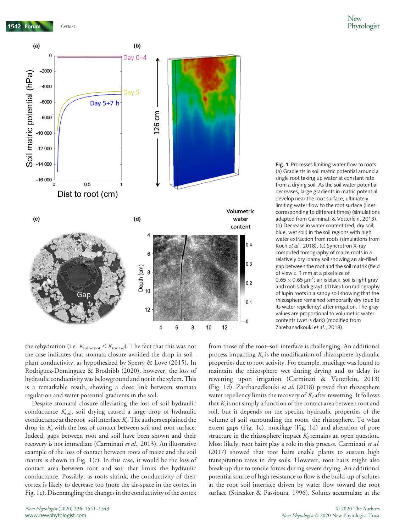

Fig. 1 Processes limiting water flow to roots. (a) Gradients in soil matric potential around a single root taking up water at constant rate from a drying soil. As the soil water potential decreases, large gradients in matric potential develop near the root surface, ultimately limiting water flow to the root surface (lines corresponding to different times) (simulations adapted from Carminati & Vetterlein, 2013). (b) Decrease in water content (red, dry soil; blue, wet soil) in the soil regions with high water extraction from roots (simulations from Koch et al., 2018). (c) Syncrotron X-ray computed tomography of maize roots in a relatively dry loamy soil showing an air-filled gap between the root and the soil matrix (field of view c. 1 mm at a pixel size of  $0.65 \times 0.65 \mu m^2$ ; air is black, soil is light gray and root is dark gray). (d) Neutron radiography of lupin roots in a sandy soil showing that the rhizosphere remained temporarily dry (due to its water repellency) after irrigation. The gray values are proportional to volumetric water contents (wet is dark) (modified from Zarebanadkouki et al., 2018).

the rehydration (i.e.  $K_{\text{solid}} < K_{\text{root}+i}$ ). The fact that this was not the case indicates that stomata closure avoided the drop in soil– plant conductivity, as hypothesized by Sperry & Love (2015). In Rodriguez-Dominguez & Brodribb (2020), however, the loss of hydraulic conductivity was belowground and not in the xylem. This is a remarkable result, showing a close link between stomata regulation and water potential gradients in the soil.

Despite stomatal closure alleviating the loss of soil hydraulic conductance  $K_{\text{soil}}$ , soil drying caused a large drop of hydraulic conductance at the root–soil interface  $K_i$ . The authors explained the drop in  $K_i$  with the loss of contact between soil and root surface. Indeed, gaps between root and soil have been shown and their recovery is not immediate (Carminati et al., 2013). An illustrative example of the loss of contact between roots of maize and the soil matrix is shown in Fig. 1(c). In this case, it would be the loss of contact area between root and soil that limits the hydraulic conductance. Possibly, as roots shrink, the conductivity of their cortex is likely to decrease too (note the air-space in the cortex in Fig. 1c). Disentangling the changes in the conductivity of the cortex

from those of the root–soil interface is challenging. An additional process impacting  $K_i$  is the modification of rhizosphere hydraulic properties due to root activity. For example, mucilage was found to maintain the rhizosphere wet during drying and to delay its rewetting upon irrigation (Carminati & Vetterlein, 2013) (Fig. 1d). Zarebanadkouki et al. (2018) proved that rhizosphere water repellency limits the recovery of  $K_i$  after rewetting. It follows that  $K_i$  is not simply a function of the contact area between root and soil, but it depends on the specific hydraulic properties of the volume of soil surrounding the roots, the rhizosphere. To what extent gaps (Fig. 1c), mucilage (Fig. 1d) and alteration of pore structure in the rhizosphere impact  $K_i$  remains an open question. Most likely, root hairs play a role in this process. Carminati et al. (2017) showed that root hairs enable plants to sustain high transpiration rates in dry soils. However, root hairs might also break-up due to tensile forces during severe drying. An additional potential source of high resistance to flow is the build-up of solutes at the root–soil interface driven by water flow toward the root surface (Stirzaker & Passioura, 1996). Solutes accumulate at the